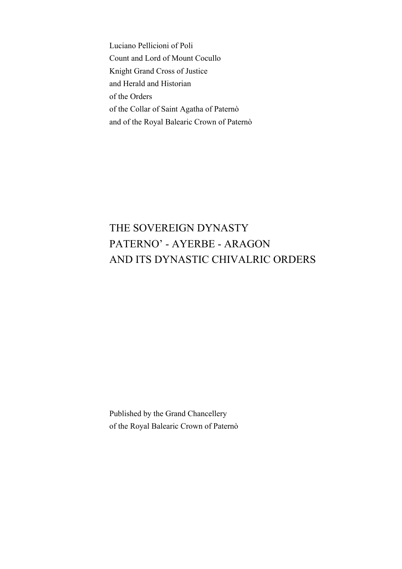Luciano Pellicioni of Poli Count and Lord of Mount Cocullo Knight Grand Cross of Justice and Herald and Historian of the Orders of the Collar of Saint Agatha of Paternò and of the Royal Balearic Crown of Paternò

# THE SOVEREIGN DYNASTY PATERNO' - AYERBE - ARAGON AND ITS DYNASTIC CHIVALRIC ORDERS

Published by the Grand Chancellery of the Royal Balearic Crown of Paternò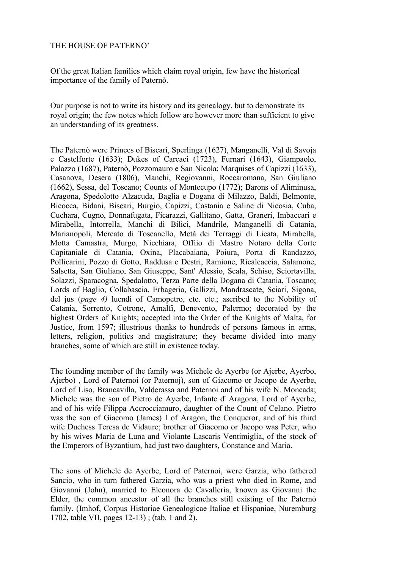#### THE HOUSE OF PATERNO'

Of the great Italian families which claim royal origin, few have the historical importance of the family of Paternò.

Our purpose is not to write its history and its genealogy, but to demonstrate its royal origin; the few notes which follow are however more than sufficient to give an understanding of its greatness.

The Paternò were Princes of Biscari, Sperlinga (1627), Manganelli, Val di Savoja e Castelforte (1633); Dukes of Carcaci (1723), Furnari (1643), Giampaolo, Palazzo (1687), Paternò, Pozzomauro e San Nicola; Marquises of Capizzi (1633), Casanova, Desera (1806), Manchi, Regiovanni, Roccaromana, San Giuliano (1662), Sessa, del Toscano; Counts of Montecupo (1772); Barons of Aliminusa, Aragona, Spedolotto Alzacuda, Baglia e Dogana di Milazzo, Baldi, Belmonte, Bicocca, Bidani, Biscari, Burgio, Capizzi, Castania e Saline di Nicosia, Cuba, Cuchara, Cugno, Donnafugata, Ficarazzi, Gallitano, Gatta, Graneri, Imbaccari e Mirabella, Intorrella, Manchi di Bilici, Mandrile, Manganelli di Catania, Marianopoli, Mercato di Toscanello, Metà dei Terraggi di Licata, Mirabella, Motta Camastra, Murgo, Nicchiara, Offiio di Mastro Notaro della Corte Capitaniale di Catania, Oxina, Placabaiana, Poiura, Porta di Randazzo, Pollicarini, Pozzo di Gotto, Raddusa e Destri, Ramione, Ricalcaccia, Salamone, Salsetta, San Giuliano, San Giuseppe, Sant' Alessio, Scala, Schiso, Sciortavilla, Solazzi, Sparacogna, Spedalotto, Terza Parte della Dogana di Catania, Toscano; Lords of Baglio, Collabascia, Erbageria, Gallizzi, Mandrascate, Sciari, Sigona, del jus (*page 4)* luendi of Camopetro, etc. etc.; ascribed to the Nobility of Catania, Sorrento, Cotrone, Amalfi, Benevento, Palermo; decorated by the highest Orders of Knights; accepted into the Order of the Knights of Malta, for Justice, from 1597; illustrious thanks to hundreds of persons famous in arms, letters, religion, politics and magistrature; they became divided into many branches, some of which are still in existence today.

The founding member of the family was Michele de Ayerbe (or Ajerbe, Ayerbo, Ajerbo) , Lord of Paternoi (or Paternoj), son of Giacomo or Jacopo de Ayerbe, Lord of Liso, Brancavilla, Valderassa and Paternoi and of his wife N. Moncada; Michele was the son of Pietro de Ayerbe, Infante d' Aragona, Lord of Ayerbe, and of his wife Filippa Accrocciamuro, daughter of the Count of Celano. Pietro was the son of Giacomo (James) I of Aragon, the Conqueror, and of his third wife Duchess Teresa de Vidaure; brother of Giacomo or Jacopo was Peter, who by his wives Maria de Luna and Violante Lascaris Ventimiglia, of the stock of the Emperors of Byzantium, had just two daughters, Constance and Maria.

The sons of Michele de Ayerbe, Lord of Paternoi, were Garzia, who fathered Sancio, who in turn fathered Garzia, who was a priest who died in Rome, and Giovanni (John), married to Eleonora de Cavalleria, known as Giovanni the Elder, the common ancestor of all the branches still existing of the Paternò family. (Imhof, Corpus Historiae Genealogicae Italiae et Hispaniae, Nuremburg 1702, table VII, pages 12-13) ; (tab. 1 and 2).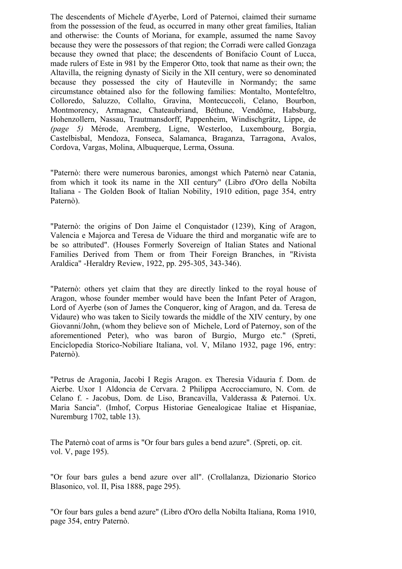The descendents of Michele d'Ayerbe, Lord of Paternoi, claimed their surname from the possession of the feud, as occurred in many other great families, Italian and otherwise: the Counts of Moriana, for example, assumed the name Savoy because they were the possessors of that region; the Corradi were called Gonzaga because they owned that place; the descendents of Bonifacio Count of Lucca, made rulers of Este in 981 by the Emperor Otto, took that name as their own; the Altavilla, the reigning dynasty of Sicily in the XII century, were so denominated because they possessed the city of Hauteville in Normandy; the same circumstance obtained also for the following families: Montalto, Montefeltro, Colloredo, Saluzzo, Collalto, Gravina, Montecuccoli, Celano, Bourbon, Montmorency, Armagnac, Chateaubriand, Béthune, Vendôme, Habsburg, Hohenzollern, Nassau, Trautmansdorff, Pappenheim, Windischgrätz, Lippe, de *(page 5)* Mérode, Aremberg, Ligne, Westerloo, Luxembourg, Borgia, Castelbisbal, Mendoza, Fonseca, Salamanca, Braganza, Tarragona, Avalos, Cordova, Vargas, Molina, Albuquerque, Lerma, Ossuna.

"Paternò: there were numerous baronies, amongst which Paternò near Catania, from which it took its name in the XII century" (Libro d'Oro della Nobilta Italiana - The Golden Book of Italian Nobility, 1910 edition, page 354, entry Paternò).

"Paternò: the origins of Don Jaime el Conquistador (1239), King of Aragon, Valencia e Majorca and Teresa de Viduare the third and morganatic wife are to be so attributed". (Houses Formerly Sovereign of Italian States and National Families Derived from Them or from Their Foreign Branches, in "Rivista Araldica" -Heraldry Review, 1922, pp. 295-305, 343-346).

"Paternò: others yet claim that they are directly linked to the royal house of Aragon, whose founder member would have been the Infant Peter of Aragon, Lord of Ayerbe (son of James the Conqueror, king of Aragon, and da. Teresa de Vidaure) who was taken to Sicily towards the middle of the XIV century, by one Giovanni/John, (whom they believe son of Michele, Lord of Paternoy, son of the aforementioned Peter), who was baron of Burgio, Murgo etc." (Spreti, Enciclopedia Storico-Nobiliare Italiana, vol. V, Milano 1932, page 196, entry: Paternò).

"Petrus de Aragonia, Jacobi I Regis Aragon. ex Theresia Vidauria f. Dom. de Aierbe. Uxor 1 Aldoncia de Cervara. 2 Philippa Accrocciamuro, N. Com. de Celano f. - Jacobus, Dom. de Liso, Brancavilla, Valderassa & Paternoi. Ux. Maria Sancia". (Imhof, Corpus Historiae Genealogicae Italiae et Hispaniae, Nuremburg 1702, table 13).

The Paternò coat of arms is "Or four bars gules a bend azure". (Spreti, op. cit. vol. V, page 195).

"Or four bars gules a bend azure over all". (Crollalanza, Dizionario Storico Blasonico, vol. II, Pisa 1888, page 295).

"Or four bars gules a bend azure" (Libro d'Oro della Nobilta Italiana, Roma 1910, page 354, entry Paternò.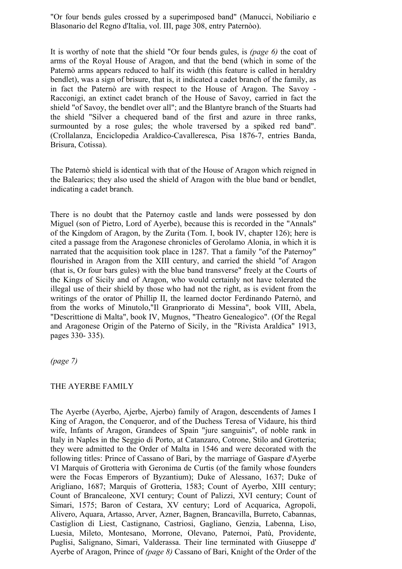"Or four bends gules crossed by a superimposed band" (Manucci, Nobiliario e Blasonario del Regno d'Italia, vol. III, page 308, entry Paternòo).

It is worthy of note that the shield "Or four bends gules, is *(page 6)* the coat of arms of the Royal House of Aragon, and that the bend (which in some of the Paternò arms appears reduced to half its width (this feature is called in heraldry bendlet), was a sign of brisure, that is, it indicated a cadet branch of the family, as in fact the Paternò are with respect to the House of Aragon. The Savoy - Racconigi, an extinct cadet branch of the House of Savoy, carried in fact the shield "of Savoy, the bendlet over all"; and the Blantyre branch of the Stuarts had the shield "Silver a chequered band of the first and azure in three ranks, surmounted by a rose gules; the whole traversed by a spiked red band". (Crollalanza, Enciclopedia Araldico-Cavalleresca, Pisa 1876-7, entries Banda, Brisura, Cotissa).

The Paternò shield is identical with that of the House of Aragon which reigned in the Balearics; they also used the shield of Aragon with the blue band or bendlet, indicating a cadet branch.

There is no doubt that the Paternoy castle and lands were possessed by don Miguel (son of Pietro, Lord of Ayerbe), because this is recorded in the "Annals" of the Kingdom of Aragon, by the Zurita (Tom. I, book IV, chapter 126); here is cited a passage from the Aragonese chronicles of Gerolamo Alonia, in which it is narrated that the acquisition took place in 1287. That a family "of the Paternoy" flourished in Aragon from the XIII century, and carried the shield "of Aragon (that is, Or four bars gules) with the blue band transverse" freely at the Courts of the Kings of Sicily and of Aragon, who would certainly not have tolerated the illegal use of their shield by those who had not the right, as is evident from the writings of the orator of Phillip II, the learned doctor Ferdinando Paternò, and from the works of Minutolo,"Il Granpriorato di Messina", book VIII, Abela, "Descrittione di Malta", book IV, Mugnos, "Theatro Genealogico". (Of the Regal and Aragonese Origin of the Paterno of Sicily, in the "Rivista Araldica" 1913, pages 330- 335).

*(page 7)*

#### THE AYERBE FAMILY

The Ayerbe (Ayerbo, Ajerbe, Ajerbo) family of Aragon, descendents of James I King of Aragon, the Conqueror, and of the Duchess Teresa of Vidaure, his third wife, Infants of Aragon, Grandees of Spain "jure sanguinis", of noble rank in Italy in Naples in the Seggio di Porto, at Catanzaro, Cotrone, Stilo and Grotteria; they were admitted to the Order of Malta in 1546 and were decorated with the following titles: Prince of Cassano of Bari, by the marriage of Gaspare d'Ayerbe VI Marquis of Grotteria with Geronima de Curtis (of the family whose founders were the Focas Emperors of Byzantium); Duke of Alessano, 1637; Duke of Arigliano, 1687; Marquis of Grotteria, 1583; Count of Ayerbo, XIII century; Count of Brancaleone, XVI century; Count of Palizzi, XVI century; Count of Simari, 1575; Baron of Cestara, XV century; Lord of Acquarica, Agropoli, Alivero, Aquara, Artasso, Arver, Azner, Bagnen, Brancavilla, Burreto, Cabannas, Castiglion di Liest, Castignano, Castriosi, Gagliano, Genzia, Labenna, Liso, Luesia, Mileto, Montesano, Morrone, Olevano, Paternoi, Patù, Providente, Puglisi, Salignano, Simari, Valderassa. Their line terminated with Giuseppe d' Ayerbe of Aragon, Prince of *(page 8)* Cassano of Bari, Knight of the Order of the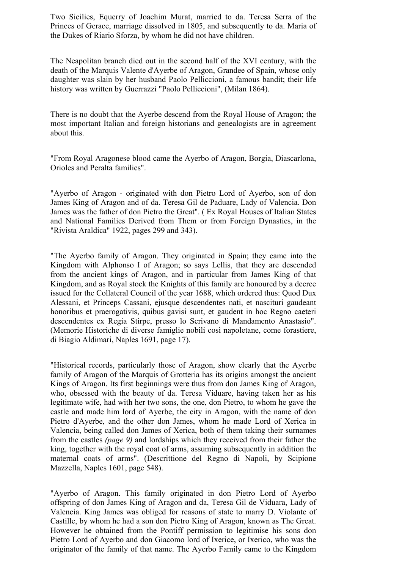Two Sicilies, Equerry of Joachim Murat, married to da. Teresa Serra of the Princes of Gerace, marriage dissolved in 1805, and subsequently to da. Maria of the Dukes of Riario Sforza, by whom he did not have children.

The Neapolitan branch died out in the second half of the XVI century, with the death of the Marquis Valente d'Ayerbe of Aragon, Grandee of Spain, whose only daughter was slain by her husband Paolo Pelliccioni, a famous bandit; their life history was written by Guerrazzi "Paolo Pelliccioni", (Milan 1864).

There is no doubt that the Ayerbe descend from the Royal House of Aragon; the most important Italian and foreign historians and genealogists are in agreement about this.

"From Royal Aragonese blood came the Ayerbo of Aragon, Borgia, Diascarlona, Orioles and Peralta families".

"Ayerbo of Aragon - originated with don Pietro Lord of Ayerbo, son of don James King of Aragon and of da. Teresa Gil de Paduare, Lady of Valencia. Don James was the father of don Pietro the Great". ( Ex Royal Houses of Italian States and National Families Derived from Them or from Foreign Dynasties, in the "Rivista Araldica" 1922, pages 299 and 343).

"The Ayerbo family of Aragon. They originated in Spain; they came into the Kingdom with Alphonso I of Aragon; so says Lellis, that they are descended from the ancient kings of Aragon, and in particular from James King of that Kingdom, and as Royal stock the Knights of this family are honoured by a decree issued for the Collateral Council of the year 1688, which ordered thus: Quod Dux Alessani, et Princeps Cassani, ejusque descendentes nati, et nascituri gaudeant honoribus et praerogativis, quibus gavisi sunt, et gaudent in hoc Regno caeteri descendentes ex Regia Stirpe, presso lo Scrivano di Mandamento Anastasio". (Memorie Historiche di diverse famiglie nobili così napoletane, come forastiere, di Biagio Aldimari, Naples 1691, page 17).

"Historical records, particularly those of Aragon, show clearly that the Ayerbe family of Aragon of the Marquis of Grotteria has its origins amongst the ancient Kings of Aragon. Its first beginnings were thus from don James King of Aragon, who, obsessed with the beauty of da. Teresa Viduare, having taken her as his legitimate wife, had with her two sons, the one, don Pietro, to whom he gave the castle and made him lord of Ayerbe, the city in Aragon, with the name of don Pietro d'Ayerbe, and the other don James, whom he made Lord of Xerica in Valencia, being called don James of Xerica, both of them taking their surnames from the castles *(page 9)* and lordships which they received from their father the king, together with the royal coat of arms, assuming subsequently in addition the maternal coats of arms". (Descrittione del Regno di Napoli, by Scipione Mazzella, Naples 1601, page 548).

"Ayerbo of Aragon. This family originated in don Pietro Lord of Ayerbo offspring of don James King of Aragon and da, Teresa Gil de Viduara, Lady of Valencia. King James was obliged for reasons of state to marry D. Violante of Castille, by whom he had a son don Pietro King of Aragon, known as The Great. However he obtained from the Pontiff permission to legitimise his sons don Pietro Lord of Ayerbo and don Giacomo lord of Ixerice, or Ixerico, who was the originator of the family of that name. The Ayerbo Family came to the Kingdom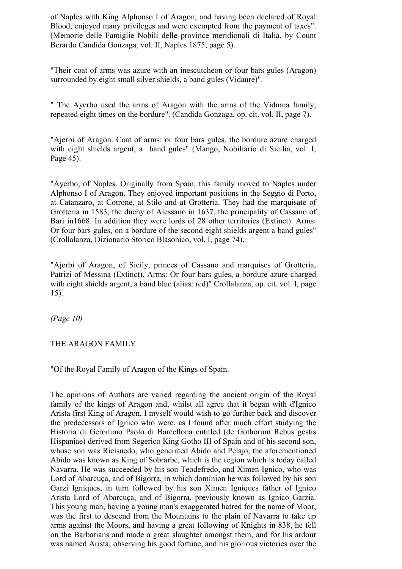of Naples with King Alphonso I of Aragon, and having been declared of Royal Blood, enjoyed many privileges and were exempted from the payment of taxes". (Memorie delle Famiglie Nobili delle province meridionali di Italia, by Count Berardo Candida Gonzaga, vol. II, Naples 1875, page 5).

"Their coat of arms was azure with an inescutcheon or four bars gules (Aragon) surrounded by eight small silver shields, a band gules (Vidaure)".

" The Ayerbo used the arms of Aragon with the arms of the Viduara family, repeated eight times on the bordure". (Candida Gonzaga, op. cit. vol. II, page 7).

"Ajerbi of Aragon. Coat of arms: or four bars gules, the bordure azure charged with eight shields argent, a band gules" (Mango, Nobiliario di Sicilia, vol. I, Page 45).

"Ayerbo, of Naples. Originally from Spain, this family moved to Naples under Alphonso I of Aragon. They enjoyed important positions in the Seggio di Porto, at Catanzaro, at Cotrone, at Stilo and at Grotteria. They had the marquisate of Grotteria in 1583, the duchy of Alessano in 1637, the principality of Cassano of Bari in1668. In addition they were lords of 28 other territories (Extinct). Arms: Or four bars gules, on a bordure of the second eight shields argent a band gules" (Crollalanza, Dizionario Storico Blasonico, vol. I, page 74).

"Ajerbi of Aragon, of Sicily, princes of Cassano and marquises of Grotteria, Patrizi of Messina (Extinct). Arms: Or four bars gules, a bordure azure charged with eight shields argent, a band blue (alias: red)" Crollalanza, op. cit. vol. I, page 15).

*(Page 10)* 

#### THE ARAGON FAMILY

"Of the Royal Family of Aragon of the Kings of Spain.

The opinions of Authors are varied regarding the ancient origin of the Royal family of the kings of Aragon and, whilst all agree that it began with d'Ignico Arista first King of Aragon, I myself would wish to go further back and discover the predecessors of Ignico who were, as I found after much effort studying the Historia di Geronimo Paolo di Barcellona entitled (de Gothorum Rebus gestis Hispaniae) derived from Segerico King Gotho III of Spain and of his second son, whose son was Ricisnedo, who generated Abido and Pelajo, the aforementioned Abido was known as King of Sobrarbe, which is the region which is today called Navarra. He was succeeded by his son Teodefredo, and Ximen Ignico, who was Lord of Abarcuça, and of Bigorra, in which dominion he was followed by his son Garzi Igniques, in turn followed by his son Ximen Igniques father of Ignico Arista Lord of Abarcuça, and of Bigorra, previously known as Ignico Garzia. This young man, having a young man's exaggerated hatred for the name of Moor, was the first to descend from the Mountains to the plain of Navarra to take up arms against the Moors, and having a great following of Knights in 838, he fell on the Barbarians and made a great slaughter amongst them, and for his ardour was named Arista; observing his good fortune, and his glorious victories over the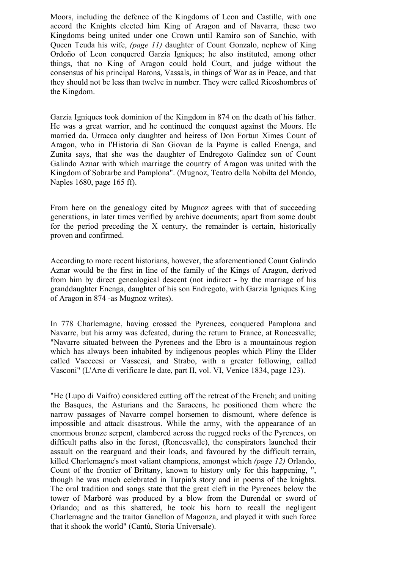Moors, including the defence of the Kingdoms of Leon and Castille, with one accord the Knights elected him King of Aragon and of Navarra, these two Kingdoms being united under one Crown until Ramiro son of Sanchio, with Queen Teuda his wife, *(page 11)* daughter of Count Gonzalo, nephew of King Ordoño of Leon conquered Garzia Igniques; he also instituted, among other things, that no King of Aragon could hold Court, and judge without the consensus of his principal Barons, Vassals, in things of War as in Peace, and that they should not be less than twelve in number. They were called Ricoshombres of the Kingdom.

Garzia Igniques took dominion of the Kingdom in 874 on the death of his father. He was a great warrior, and he continued the conquest against the Moors. He married da. Urracca only daughter and heiress of Don Fortun Ximes Count of Aragon, who in I'Historia di San Giovan de la Payme is called Enenga, and Zunita says, that she was the daughter of Endregoto Galindez son of Count Galindo Aznar with which marriage the country of Aragon was united with the Kingdom of Sobrarbe and Pamplona". (Mugnoz, Teatro della Nobilta del Mondo, Naples 1680, page 165 ff).

From here on the genealogy cited by Mugnoz agrees with that of succeeding generations, in later times verified by archive documents; apart from some doubt for the period preceding the X century, the remainder is certain, historically proven and confirmed.

According to more recent historians, however, the aforementioned Count Galindo Aznar would be the first in line of the family of the Kings of Aragon, derived from him by direct genealogical descent (not indirect - by the marriage of his granddaughter Enenga, daughter of his son Endregoto, with Garzia Igniques King of Aragon in 874 -as Mugnoz writes).

In 778 Charlemagne, having crossed the Pyrenees, conquered Pamplona and Navarre, but his army was defeated, during the return to France, at Roncesvalle; "Navarre situated between the Pyrenees and the Ebro is a mountainous region which has always been inhabited by indigenous peoples which Pliny the Elder called Vacceesi or Vasseesi, and Strabo, with a greater following, called Vasconi" (L'Arte di verificare le date, part II, vol. VI, Venice 1834, page 123).

"He (Lupo di Vaifro) considered cutting off the retreat of the French; and uniting the Basques, the Asturians and the Saracens, he positioned them where the narrow passages of Navarre compel horsemen to dismount, where defence is impossible and attack disastrous. While the army, with the appearance of an enormous bronze serpent, clambered across the rugged rocks of the Pyrenees, on difficult paths also in the forest, (Roncesvalle), the conspirators launched their assault on the rearguard and their loads, and favoured by the difficult terrain, killed Charlemagne's most valiant champions, amongst which *(page 12)* Orlando, Count of the frontier of Brittany, known to history only for this happening, ", though he was much celebrated in Turpin's story and in poems of the knights. The oral tradition and songs state that the great cleft in the Pyrenees below the tower of Marboré was produced by a blow from the Durendal or sword of Orlando; and as this shattered, he took his horn to recall the negligent Charlemagne and the traitor Ganellon of Magonza, and played it with such force that it shook the world" (Cantù, Storia Universale).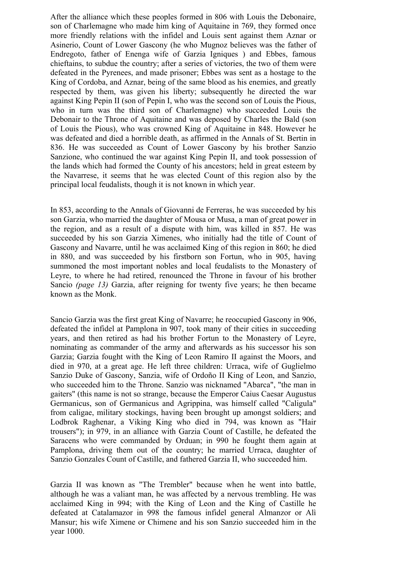After the alliance which these peoples formed in 806 with Louis the Debonaire, son of Charlemagne who made him king of Aquitaine in 769, they formed once more friendly relations with the infidel and Louis sent against them Aznar or Asinerio, Count of Lower Gascony (he who Mugnoz believes was the father of Endregoto, father of Enenga wife of Garzia Igniques ) and Ebbes, famous chieftains, to subdue the country; after a series of victories, the two of them were defeated in the Pyrenees, and made prisoner; Ebbes was sent as a hostage to the King of Cordoba, and Aznar, being of the same blood as his enemies, and greatly respected by them, was given his liberty; subsequently he directed the war against King Pepin II (son of Pepin I, who was the second son of Louis the Pious, who in turn was the third son of Charlemagne) who succeeded Louis the Debonair to the Throne of Aquitaine and was deposed by Charles the Bald (son of Louis the Pious), who was crowned King of Aquitaine in 848. However he was defeated and died a horrible death, as affirmed in the Annals of St. Bertin in 836. He was succeeded as Count of Lower Gascony by his brother Sanzio Sanzione, who continued the war against King Pepin II, and took possession of the lands which had formed the County of his ancestors; held in great esteem by the Navarrese, it seems that he was elected Count of this region also by the principal local feudalists, though it is not known in which year.

In 853, according to the Annals of Giovanni de Ferreras, he was succeeded by his son Garzia, who married the daughter of Mousa or Musa, a man of great power in the region, and as a result of a dispute with him, was killed in 857. He was succeeded by his son Garzia Ximenes, who initially had the title of Count of Gascony and Navarre, until he was acclaimed King of this region in 860; he died in 880, and was succeeded by his firstborn son Fortun, who in 905, having summoned the most important nobles and local feudalists to the Monastery of Leyre, to where he had retired, renounced the Throne in favour of his brother Sancio *(page 13)* Garzia, after reigning for twenty five years; he then became known as the Monk.

Sancio Garzia was the first great King of Navarre; he reoccupied Gascony in 906, defeated the infidel at Pamplona in 907, took many of their cities in succeeding years, and then retired as had his brother Fortun to the Monastery of Leyre, nominating as commander of the army and afterwards as his successor his son Garzia; Garzia fought with the King of Leon Ramiro II against the Moors, and died in 970, at a great age. He left three children: Urraca, wife of Guglielmo Sanzio Duke of Gascony, Sanzia, wife of Ordoño II King of Leon, and Sanzio, who succeeded him to the Throne. Sanzio was nicknamed "Abarca", "the man in gaiters" (this name is not so strange, because the Emperor Caius Caesar Augustus Germanicus, son of Germanicus and Agrippina, was himself called "Caligula" from caligae, military stockings, having been brought up amongst soldiers; and Lodbrok Raghenar, a Viking King who died in 794, was known as "Hair trousers"); in 979, in an alliance with Garzia Count of Castille, he defeated the Saracens who were commanded by Orduan; in 990 he fought them again at Pamplona, driving them out of the country; he married Urraca, daughter of Sanzio Gonzales Count of Castille, and fathered Garzia II, who succeeded him.

Garzia II was known as "The Trembler" because when he went into battle, although he was a valiant man, he was affected by a nervous trembling. He was acclaimed King in 994; with the King of Leon and the King of Castille he defeated at Catalamazor in 998 the famous infidel general Almanzor or Alì Mansur; his wife Ximene or Chimene and his son Sanzio succeeded him in the year 1000.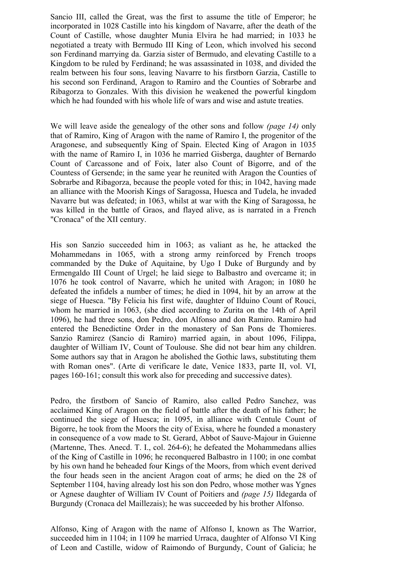Sancio III, called the Great, was the first to assume the title of Emperor; he incorporated in 1028 Castille into his kingdom of Navarre, after the death of the Count of Castille, whose daughter Munia Elvira he had married; in 1033 he negotiated a treaty with Bermudo III King of Leon, which involved his second son Ferdinand marrying da. Garzia sister of Bermudo, and elevating Castille to a Kingdom to be ruled by Ferdinand; he was assassinated in 1038, and divided the realm between his four sons, leaving Navarre to his firstborn Garzia, Castille to his second son Ferdinand, Aragon to Ramiro and the Counties of Sobrarbe and Ribagorza to Gonzales. With this division he weakened the powerful kingdom which he had founded with his whole life of wars and wise and astute treaties.

We will leave aside the genealogy of the other sons and follow *(page 14)* only that of Ramiro, King of Aragon with the name of Ramiro I, the progenitor of the Aragonese, and subsequently King of Spain. Elected King of Aragon in 1035 with the name of Ramiro I, in 1036 he married Gisberga, daughter of Bernardo Count of Carcassone and of Foix, later also Count of Bigorre, and of the Countess of Gersende; in the same year he reunited with Aragon the Counties of Sobrarbe and Ribagorza, because the people voted for this; in 1042, having made an alliance with the Moorish Kings of Saragossa, Huesca and Tudela, he invaded Navarre but was defeated; in 1063, whilst at war with the King of Saragossa, he was killed in the battle of Graos, and flayed alive, as is narrated in a French "Cronaca" of the XII century.

His son Sanzio succeeded him in 1063; as valiant as he, he attacked the Mohammedans in 1065, with a strong army reinforced by French troops commanded by the Duke of Aquitaine, by Ugo I Duke of Burgundy and by Ermengaldo III Count of Urgel; he laid siege to Balbastro and overcame it; in 1076 he took control of Navarre, which he united with Aragon; in 1080 he defeated the infidels a number of times; he died in 1094, hit by an arrow at the siege of Huesca. "By Felicia his first wife, daughter of Ilduino Count of Rouci, whom he married in 1063, (she died according to Zurita on the 14th of April 1096), he had three sons, don Pedro, don Alfonso and don Ramiro. Ramiro had entered the Benedictine Order in the monastery of San Pons de Thomieres. Sanzio Ramirez (Sancio di Ramiro) married again, in about 1096, Filippa, daughter of William IV, Count of Toulouse. She did not bear him any children. Some authors say that in Aragon he abolished the Gothic laws, substituting them with Roman ones". (Arte di verificare le date, Venice 1833, parte II, vol. VI, pages 160-161; consult this work also for preceding and successive dates).

Pedro, the firstborn of Sancio of Ramiro, also called Pedro Sanchez, was acclaimed King of Aragon on the field of battle after the death of his father; he continued the siege of Huesca; in 1095, in alliance with Centule Count of Bigorre, he took from the Moors the city of Exisa, where he founded a monastery in consequence of a vow made to St. Gerard, Abbot of Sauve-Majour in Guienne (Martenne, Thes. Anecd. T. I., col. 264-6); he defeated the Mohammedans allies of the King of Castille in 1096; he reconquered Balbastro in 1100; in one combat by his own hand he beheaded four Kings of the Moors, from which event derived the four heads seen in the ancient Aragon coat of arms; he died on the 28 of September 1104, having already lost his son don Pedro, whose mother was Ygnes or Agnese daughter of William IV Count of Poitiers and *(page 15)* Ildegarda of Burgundy (Cronaca del Maillezais); he was succeeded by his brother Alfonso.

Alfonso, King of Aragon with the name of Alfonso I, known as The Warrior, succeeded him in 1104; in 1109 he married Urraca, daughter of Alfonso VI King of Leon and Castille, widow of Raimondo of Burgundy, Count of Galicia; he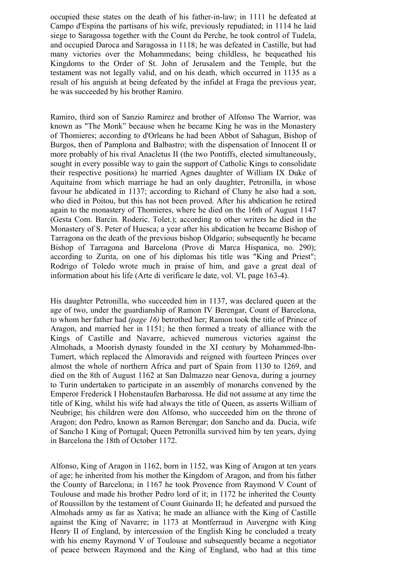occupied these states on the death of his father-in-law; in 1111 he defeated at Campo d'Espina the partisans of his wife, previously repudiated; in 1114 he laid siege to Saragossa together with the Count du Perche, he took control of Tudela, and occupied Daroca and Saragossa in 1118; he was defeated in Castille, but had many victories over the Mohammedans; being childless, he bequeathed his Kingdoms to the Order of St. John of Jerusalem and the Temple, but the testament was not legally valid, and on his death, which occurred in 1135 as a result of his anguish at being defeated by the infidel at Fraga the previous year, he was succeeded by his brother Ramiro.

Ramiro, third son of Sanzio Ramirez and brother of Alfonso The Warrior, was known as "The Monk" because when he became King he was in the Monastery of Thomieres; according to d'Orleans he had been Abbot of Sahagun, Bishop of Burgos, then of Pamplona and Balbastro; with the dispensation of Innocent II or more probably of his rival Anacletus II (the two Pontiffs, elected simultaneously, sought in every possible way to gain the support of Catholic Kings to consolidate their respective positions) he married Agnes daughter of William IX Duke of Aquitaine from which marriage he had an only daughter, Petronilla, in whose favour he abdicated in 1137; according to Richard of Cluny he also had a son, who died in Poitou, but this has not been proved. After his abdication he retired again to the monastery of Thomieres, where he died on the 16th of August 1147 (Gesta Com. Barcin. Roderic. Tolet.); according to other writers he died in the Monastery of S. Peter of Huesca; a year after his abdication he became Bishop of Tarragona on the death of the previous bishop Oldgario; subsequently he became Bishop of Tarragona and Barcelona (Prove di Marca Hispanica, no. 290); according to Zurita, on one of his diplomas his title was "King and Priest"; Rodrigo of Toledo wrote much in praise of him, and gave a great deal of information about his life (Arte di verificare le date, vol. VI, page 163-4).

His daughter Petronilla, who succeeded him in 1137, was declared queen at the age of two, under the guardianship of Ramon IV Berengar, Count of Barcelona, to whom her father had *(page 16)* betrothed her; Ramon took the title of Prince of Aragon, and married her in 1151; he then formed a treaty of alliance with the Kings of Castille and Navarre, achieved numerous victories against the Almohads, a Moorish dynasty founded in the XI century by Mohammed-lbn-Tumert, which replaced the Almoravids and reigned with fourteen Princes over almost the whole of northern Africa and part of Spain from 1130 to 1269, and died on the 8th of August 1162 at San Dalmazzo near Genova, during a journey to Turin undertaken to participate in an assembly of monarchs convened by the Emperor Frederick I Hohenstaufen Barbarossa. He did not assume at any time the title of King, whilst his wife had always the title of Queen, as asserts William of Neubrige; his children were don Alfonso, who succeeded him on the throne of Aragon; don Pedro, known as Ramon Berengar; don Sancho and da. Ducia, wife of Sancho I King of Portugal; Queen Petronilla survived him by ten years, dying in Barcelona the 18th of October 1172.

Alfonso, King of Aragon in 1162, born in 1152, was King of Aragon at ten years of age; he inherited from his mother the Kingdom of Aragon, and from his father the County of Barcelona; in 1167 he took Provence from Raymond V Count of Toulouse and made his brother Pedro lord of it; in 1172 he inherited the County of Roussillon by the testament of Count Guinardo II; he defeated and pursued the Almohads army as far as Xativa; he made an alliance with the King of Castille against the King of Navarre; in 1173 at Montferraud in Auvergne with King Henry II of England, by intercession of the English King he concluded a treaty with his enemy Raymond V of Toulouse and subsequently became a negotiator of peace between Raymond and the King of England, who had at this time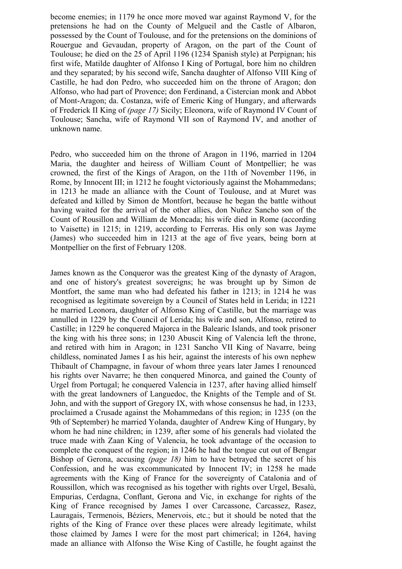become enemies; in 1179 he once more moved war against Raymond V, for the pretensions he had on the County of Melgueil and the Castle of Albaron, possessed by the Count of Toulouse, and for the pretensions on the dominions of Rouergue and Gevaudan, property of Aragon, on the part of the Count of Toulouse; he died on the 25 of April 1196 (1234 Spanish style) at Perpignan; his first wife, Matilde daughter of Alfonso I King of Portugal, bore him no children and they separated; by his second wife, Sancha daughter of Alfonso VIII King of Castille, he had don Pedro, who succeeded him on the throne of Aragon; don Alfonso, who had part of Provence; don Ferdinand, a Cistercian monk and Abbot of Mont-Aragon; da. Costanza, wife of Emeric King of Hungary, and afterwards of Frederick II King of *(page 17)* Sicily; Eleonora, wife of Raymond IV Count of Toulouse; Sancha, wife of Raymond VII son of Raymond IV, and another of unknown name.

Pedro, who succeeded him on the throne of Aragon in 1196, married in 1204 Maria, the daughter and heiress of William Count of Montpellier; he was crowned, the first of the Kings of Aragon, on the 11th of November 1196, in Rome, by Innocent III; in 1212 he fought victoriously against the Mohammedans; in 1213 he made an alliance with the Count of Toulouse, and at Muret was defeated and killed by Simon de Montfort, because he began the battle without having waited for the arrival of the other allies, don Nuñez Sancho son of the Count of Rousillon and William de Moncada; his wife died in Rome (according to Vaisette) in 1215; in 1219, according to Ferreras. His only son was Jayme (James) who succeeded him in 1213 at the age of five years, being born at Montpellier on the first of February 1208.

James known as the Conqueror was the greatest King of the dynasty of Aragon, and one of history's greatest sovereigns; he was brought up by Simon de Montfort, the same man who had defeated his father in 1213; in 1214 he was recognised as legitimate sovereign by a Council of States held in Lerida; in 1221 he married Leonora, daughter of Alfonso King of Castille, but the marriage was annulled in 1229 by the Council of Lerida; his wife and son, Alfonso, retired to Castille; in 1229 he conquered Majorca in the Balearic Islands, and took prisoner the king with his three sons; in 1230 Abuscit King of Valencia left the throne, and retired with him in Aragon; in 1231 Sancho VII King of Navarre, being childless, nominated James I as his heir, against the interests of his own nephew Thibault of Champagne, in favour of whom three years later James I renounced his rights over Navarre; he then conquered Minorca, and gained the County of Urgel from Portugal; he conquered Valencia in 1237, after having allied himself with the great landowners of Languedoc, the Knights of the Temple and of St. John, and with the support of Gregory IX, with whose consensus he had, in 1233, proclaimed a Crusade against the Mohammedans of this region; in 1235 (on the 9th of September) he married Yolanda, daughter of Andrew King of Hungary, by whom he had nine children; in 1239, after some of his generals had violated the truce made with Zaan King of Valencia, he took advantage of the occasion to complete the conquest of the region; in 1246 he had the tongue cut out of Bengar Bishop of Gerona, accusing *(page 18)* him to have betrayed the secret of his Confession, and he was excommunicated by Innocent IV; in 1258 he made agreements with the King of France for the sovereignty of Catalonia and of Roussillon, which was recognised as his together with rights over Urgel, Besalù, Empurias, Cerdagna, Conflant, Gerona and Vic, in exchange for rights of the King of France recognised by James I over Carcassone, Carcassez, Rasez, Lauragais, Termenois, Béziers, Menervois, etc.; but it should be noted that the rights of the King of France over these places were already legitimate, whilst those claimed by James I were for the most part chimerical; in 1264, having made an alliance with Alfonso the Wise King of Castille, he fought against the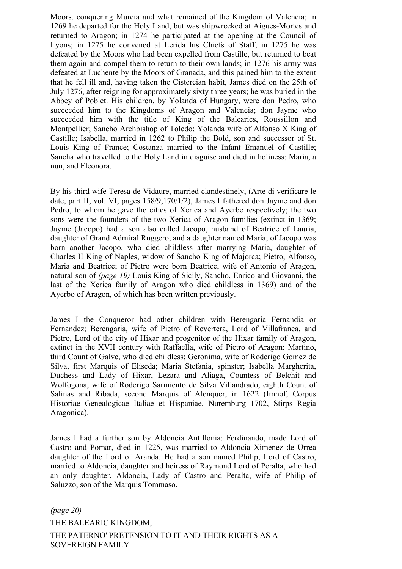Moors, conquering Murcia and what remained of the Kingdom of Valencia; in 1269 he departed for the Holy Land, but was shipwrecked at Aigues-Mortes and returned to Aragon; in 1274 he participated at the opening at the Council of Lyons; in 1275 he convened at Lerida his Chiefs of Staff; in 1275 he was defeated by the Moors who had been expelled from Castille, but returned to beat them again and compel them to return to their own lands; in 1276 his army was defeated at Luchente by the Moors of Granada, and this pained him to the extent that he fell ill and, having taken the Cistercian habit, James died on the 25th of July 1276, after reigning for approximately sixty three years; he was buried in the Abbey of Poblet. His children, by Yolanda of Hungary, were don Pedro, who succeeded him to the Kingdoms of Aragon and Valencia; don Jayme who succeeded him with the title of King of the Balearics, Roussillon and Montpellier; Sancho Archbishop of Toledo; Yolanda wife of Alfonso X King of Castille; Isabella, married in 1262 to Philip the Bold, son and successor of St. Louis King of France; Costanza married to the Infant Emanuel of Castille; Sancha who travelled to the Holy Land in disguise and died in holiness; Maria, a nun, and Eleonora.

By his third wife Teresa de Vidaure, married clandestinely, (Arte di verificare le date, part II, vol. VI, pages 158/9,170/1/2), James I fathered don Jayme and don Pedro, to whom he gave the cities of Xerica and Ayerbe respectively; the two sons were the founders of the two Xerica of Aragon families (extinct in 1369; Jayme (Jacopo) had a son also called Jacopo, husband of Beatrice of Lauria, daughter of Grand Admiral Ruggero, and a daughter named Maria; of Jacopo was born another Jacopo, who died childless after marrying Maria, daughter of Charles II King of Naples, widow of Sancho King of Majorca; Pietro, Alfonso, Maria and Beatrice; of Pietro were born Beatrice, wife of Antonio of Aragon, natural son of *(page 19)* Louis King of Sicily, Sancho, Enrico and Giovanni, the last of the Xerica family of Aragon who died childless in 1369) and of the Ayerbo of Aragon, of which has been written previously.

James I the Conqueror had other children with Berengaria Fernandia or Fernandez; Berengaria, wife of Pietro of Revertera, Lord of Villafranca, and Pietro, Lord of the city of Hixar and progenitor of the Hixar family of Aragon, extinct in the XVII century with Raffaella, wife of Pietro of Aragon; Martino, third Count of Galve, who died childless; Geronima, wife of Roderigo Gomez de Silva, first Marquis of Eliseda; Maria Stefania, spinster; Isabella Margherita, Duchess and Lady of Hixar, Lezara and Aliaga, Countess of Belchit and Wolfogona, wife of Roderigo Sarmiento de Silva Villandrado, eighth Count of Salinas and Ribada, second Marquis of Alenquer, in 1622 (Imhof, Corpus Historiae Genealogicae Italiae et Hispaniae, Nuremburg 1702, Stirps Regia Aragonica).

James I had a further son by Aldoncia Antillonia: Ferdinando, made Lord of Castro and Pomar, died in 1225, was married to Aldoncia Ximenez de Urrea daughter of the Lord of Aranda. He had a son named Philip, Lord of Castro, married to Aldoncia, daughter and heiress of Raymond Lord of Peralta, who had an only daughter, Aldoncia, Lady of Castro and Peralta, wife of Philip of Saluzzo, son of the Marquis Tommaso.

*(page 20)*  THE BALEARIC KINGDOM, THE PATERNO' PRETENSION TO IT AND THEIR RIGHTS AS A SOVEREIGN FAMILY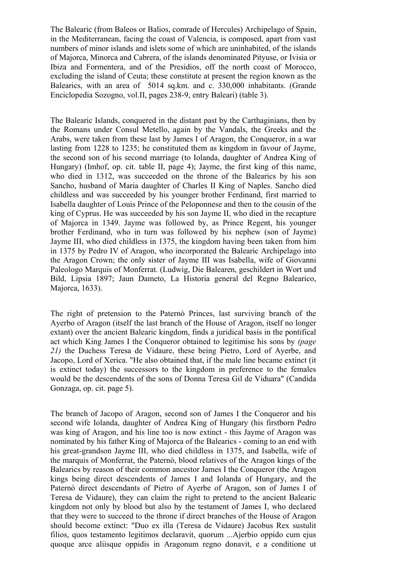The Balearic (from Baleos or Balios, comrade of Hercules) Archipelago of Spain, in the Mediterranean, facing the coast of Valencia, is composed, apart from vast numbers of minor islands and islets some of which are uninhabited, of the islands of Majorca, Minorca and Cabrera, of the islands denominated Pityuse, or Ivisia or Ibiza and Formentera, and of the Presidios, off the north coast of Morocco, excluding the island of Ceuta; these constitute at present the region known as the Balearics, with an area of 5014 sq.km. and c. 330,000 inhabitants. (Grande Enciclopedia Sozogno, vol.II, pages 238-9, entry Baleari) (table 3).

The Balearic Islands, conquered in the distant past by the Carthaginians, then by the Romans under Consul Metello, again by the Vandals, the Greeks and the Arabs, were taken from these last by James I of Aragon, the Conqueror, in a war lasting from 1228 to 1235; he constituted them as kingdom in favour of Jayme, the second son of his second marriage (to Iolanda, daughter of Andrea King of Hungary) (Imhof, op. cit. table II, page 4); Jayme, the first king of this name, who died in 1312, was succeeded on the throne of the Balearics by his son Sancho, husband of Maria daughter of Charles II King of Naples. Sancho died childless and was succeeded by his younger brother Ferdinand, first married to Isabella daughter of Louis Prince of the Peloponnese and then to the cousin of the king of Cyprus. He was succeeded by his son Jayme II, who died in the recapture of Majorca in 1349. Jayme was followed by, as Prince Regent, his younger brother Ferdinand, who in turn was followed by his nephew (son of Jayme) Jayme III, who died childless in 1375, the kingdom having been taken from him in 1375 by Pedro IV of Aragon, who incorporated the Balearic Archipelago into the Aragon Crown; the only sister of Jayme III was Isabella, wife of Giovanni Paleologo Marquis of Monferrat. (Ludwig, Die Balearen, geschildert in Wort und Bild, Lipsia 1897; Jaun Dameto, La Historia general del Regno Balearico, Majorca, 1633).

The right of pretension to the Paternò Princes, last surviving branch of the Ayerbo of Aragon (itself the last branch of the House of Aragon, itself no longer extant) over the ancient Balearic kingdom, finds a juridical basis in the pontifical act which King James I the Conqueror obtained to legitimise his sons by *(page 21)* the Duchess Teresa de Vidaure, these being Pietro, Lord of Ayerbe, and Jacopo, Lord of Xerica. "He also obtained that, if the male line became extinct (it is extinct today) the successors to the kingdom in preference to the females would be the descendents of the sons of Donna Teresa Gil de Viduara" (Candida Gonzaga, op. cit. page 5).

The branch of Jacopo of Aragon, second son of James I the Conqueror and his second wife Iolanda, daughter of Andrea King of Hungary (his firstborn Pedro was king of Aragon, and his line too is now extinct - this Jayme of Aragon was nominated by his father King of Majorca of the Balearics - coming to an end with his great-grandson Jayme III, who died childless in 1375, and Isabella, wife of the marquis of Monferrat, the Paternò, blood relatives of the Aragon kings of the Balearics by reason of their common ancestor James I the Conqueror (the Aragon kings being direct descendents of James I and Iolanda of Hungary, and the Paternò direct descendants of Pietro of Ayerbe of Aragon, son of James I of Teresa de Vidaure), they can claim the right to pretend to the ancient Balearic kingdom not only by blood but also by the testament of James I, who declared that they were to succeed to the throne if direct branches of the House of Aragon should become extinct: "Duo ex illa (Teresa de Vidaure) Jacobus Rex sustulit filios, quos testamento legitimos declaravit, quorum ...Ajerbio oppido cum ejus quoque arce aliisque oppidis in Aragonum regno donavit, e a conditione ut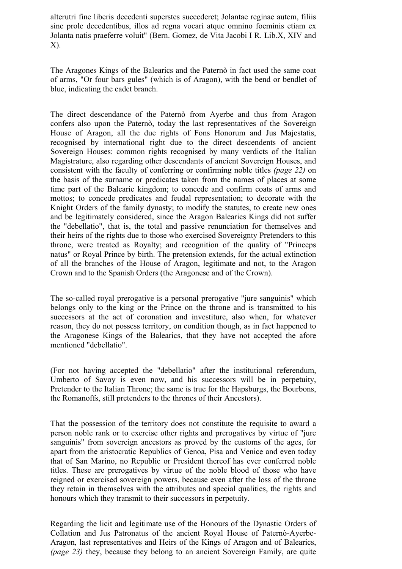alterutri fine liberis decedenti superstes succederet; Jolantae reginae autem, filiis sine prole decedentibus, illos ad regna vocari atque omnino foeminis etiam ex Jolanta natis praeferre voluit" (Bern. Gomez, de Vita Jacobi I R. Lib.X, XIV and X).

The Aragones Kings of the Balearics and the Paternò in fact used the same coat of arms, "Or four bars gules" (which is of Aragon), with the bend or bendlet of blue, indicating the cadet branch.

The direct descendance of the Paternò from Ayerbe and thus from Aragon confers also upon the Paternò, today the last representatives of the Sovereign House of Aragon, all the due rights of Fons Honorum and Jus Majestatis, recognised by international right due to the direct descendents of ancient Sovereign Houses: common rights recognised by many verdicts of the Italian Magistrature, also regarding other descendants of ancient Sovereign Houses, and consistent with the faculty of conferring or confirming noble titles *(page 22)* on the basis of the surname or predicates taken from the names of places at some time part of the Balearic kingdom; to concede and confirm coats of arms and mottos; to concede predicates and feudal representation; to decorate with the Knight Orders of the family dynasty; to modify the statutes, to create new ones and be legitimately considered, since the Aragon Balearics Kings did not suffer the "debellatio", that is, the total and passive renunciation for themselves and their heirs of the rights due to those who exercised Sovereignty Pretenders to this throne, were treated as Royalty; and recognition of the quality of "Princeps natus" or Royal Prince by birth. The pretension extends, for the actual extinction of all the branches of the House of Aragon, legitimate and not, to the Aragon Crown and to the Spanish Orders (the Aragonese and of the Crown).

The so-called royal prerogative is a personal prerogative "jure sanguinis" which belongs only to the king or the Prince on the throne and is transmitted to his successors at the act of coronation and investiture, also when, for whatever reason, they do not possess territory, on condition though, as in fact happened to the Aragonese Kings of the Balearics, that they have not accepted the afore mentioned "debellatio".

(For not having accepted the "debellatio" after the institutional referendum, Umberto of Savoy is even now, and his successors will be in perpetuity, Pretender to the Italian Throne; the same is true for the Hapsburgs, the Bourbons, the Romanoffs, still pretenders to the thrones of their Ancestors).

That the possession of the territory does not constitute the requisite to award a person noble rank or to exercise other rights and prerogatives by virtue of "jure sanguinis" from sovereign ancestors as proved by the customs of the ages, for apart from the aristocratic Republics of Genoa, Pisa and Venice and even today that of San Marino, no Republic or President thereof has ever conferred noble titles. These are prerogatives by virtue of the noble blood of those who have reigned or exercised sovereign powers, because even after the loss of the throne they retain in themselves with the attributes and special qualities, the rights and honours which they transmit to their successors in perpetuity.

Regarding the licit and legitimate use of the Honours of the Dynastic Orders of Collation and Jus Patronatus of the ancient Royal House of Paternò-Ayerbe-Aragon, last representatives and Heirs of the Kings of Aragon and of Balearics, *(page 23)* they, because they belong to an ancient Sovereign Family, are quite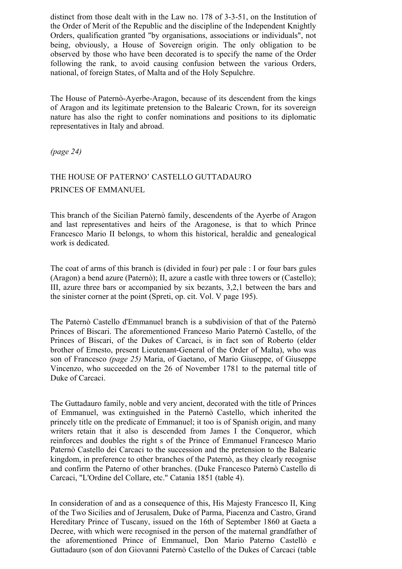distinct from those dealt with in the Law no. 178 of 3-3-51, on the Institution of the Order of Merit of the Republic and the discipline of the Independent Knightly Orders, qualification granted "by organisations, associations or individuals", not being, obviously, a House of Sovereign origin. The only obligation to be observed by those who have been decorated is to specify the name of the Order following the rank, to avoid causing confusion between the various Orders, national, of foreign States, of Malta and of the Holy Sepulchre.

The House of Paternò-Ayerbe-Aragon, because of its descendent from the kings of Aragon and its legitimate pretension to the Balearic Crown, for its sovereign nature has also the right to confer nominations and positions to its diplomatic representatives in Italy and abroad.

*(page 24)* 

## THE HOUSE OF PATERNO' CASTELLO GUTTADAURO PRINCES OF EMMANUEL

This branch of the Sicilian Paternò family, descendents of the Ayerbe of Aragon and last representatives and heirs of the Aragonese, is that to which Prince Francesco Mario II belongs, to whom this historical, heraldic and genealogical work is dedicated.

The coat of arms of this branch is (divided in four) per pale : I or four bars gules (Aragon) a bend azure (Paternò); II, azure a castle with three towers or (Castello); III, azure three bars or accompanied by six bezants, 3,2,1 between the bars and the sinister corner at the point (Spreti, op. cit. Vol. V page 195).

The Paternò Castello d'Emmanuel branch is a subdivision of that of the Paternò Princes of Biscari. The aforementioned Franceso Mario Paternò Castello, of the Princes of Biscari, of the Dukes of Carcaci, is in fact son of Roberto (elder brother of Ernesto, present Lieutenant-General of the Order of Malta), who was son of Francesco *(page 25)* Maria, of Gaetano, of Mario Giuseppe, of Giuseppe Vincenzo, who succeeded on the 26 of November 1781 to the paternal title of Duke of Carcaci.

The Guttadauro family, noble and very ancient, decorated with the title of Princes of Emmanuel, was extinguished in the Paternò Castello, which inherited the princely title on the predicate of Emmanuel; it too is of Spanish origin, and many writers retain that it also is descended from James I the Conqueror, which reinforces and doubles the right s of the Prince of Emmanuel Francesco Mario Paternò Castello dei Carcaci to the succession and the pretension to the Balearic kingdom, in preference to other branches of the Paternò, as they clearly recognise and confirm the Paterno of other branches. (Duke Francesco Paternò Castello di Carcaci, "L'Ordine del Collare, etc." Catania 1851 (table 4).

In consideration of and as a consequence of this, His Majesty Francesco II, King of the Two Sicilies and of Jerusalem, Duke of Parma, Piacenza and Castro, Grand Hereditary Prince of Tuscany, issued on the 16th of September 1860 at Gaeta a Decree, with which were recognised in the person of the maternal grandfather of the aforementioned Prince of Emmanuel, Don Mario Paterno Castellò e Guttadauro (son of don Giovanni Paternò Castello of the Dukes of Carcaci (table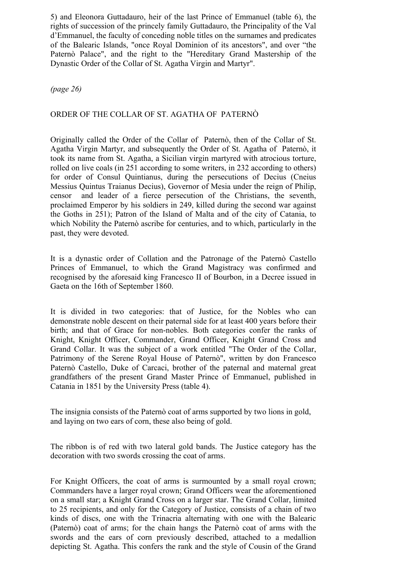5) and Eleonora Guttadauro, heir of the last Prince of Emmanuel (table 6), the rights of succession of the princely family Guttadauro, the Principality of the Val d'Emmanuel, the faculty of conceding noble titles on the surnames and predicates of the Balearic Islands, "once Royal Dominion of its ancestors", and over "the Paternò Palace", and the right to the "Hereditary Grand Mastership of the Dynastic Order of the Collar of St. Agatha Virgin and Martyr".

*(page 26)*

### ORDER OF THE COLLAR OF ST. AGATHA OF PATERNÒ

Originally called the Order of the Collar of Paternò, then of the Collar of St. Agatha Virgin Martyr, and subsequently the Order of St. Agatha of Paternò, it took its name from St. Agatha, a Sicilian virgin martyred with atrocious torture, rolled on live coals (in 251 according to some writers, in 232 according to others) for order of Consul Quintianus, during the persecutions of Decius (Cneius Messius Quintus Traianus Decius), Governor of Mesia under the reign of Philip, censor and leader of a fierce persecution of the Christians, the seventh, proclaimed Emperor by his soldiers in 249, killed during the second war against the Goths in 251); Patron of the Island of Malta and of the city of Catania, to which Nobility the Paternò ascribe for centuries, and to which, particularly in the past, they were devoted.

It is a dynastic order of Collation and the Patronage of the Paternò Castello Princes of Emmanuel, to which the Grand Magistracy was confirmed and recognised by the aforesaid king Francesco II of Bourbon, in a Decree issued in Gaeta on the 16th of September 1860.

It is divided in two categories: that of Justice, for the Nobles who can demonstrate noble descent on their paternal side for at least 400 years before their birth; and that of Grace for non-nobles. Both categories confer the ranks of Knight, Knight Officer, Commander, Grand Officer, Knight Grand Cross and Grand Collar. It was the subject of a work entitled "The Order of the Collar, Patrimony of the Serene Royal House of Paternò", written by don Francesco Paternò Castello, Duke of Carcaci, brother of the paternal and maternal great grandfathers of the present Grand Master Prince of Emmanuel, published in Catania in 1851 by the University Press (table 4).

The insignia consists of the Paternò coat of arms supported by two lions in gold, and laying on two ears of corn, these also being of gold.

The ribbon is of red with two lateral gold bands. The Justice category has the decoration with two swords crossing the coat of arms.

For Knight Officers, the coat of arms is surmounted by a small royal crown; Commanders have a larger royal crown; Grand Officers wear the aforementioned on a small star; a Knight Grand Cross on a larger star. The Grand Collar, limited to 25 recipients, and only for the Category of Justice, consists of a chain of two kinds of discs, one with the Trinacria alternating with one with the Balearic (Paternò) coat of arms; for the chain hangs the Paternò coat of arms with the swords and the ears of corn previously described, attached to a medallion depicting St. Agatha. This confers the rank and the style of Cousin of the Grand